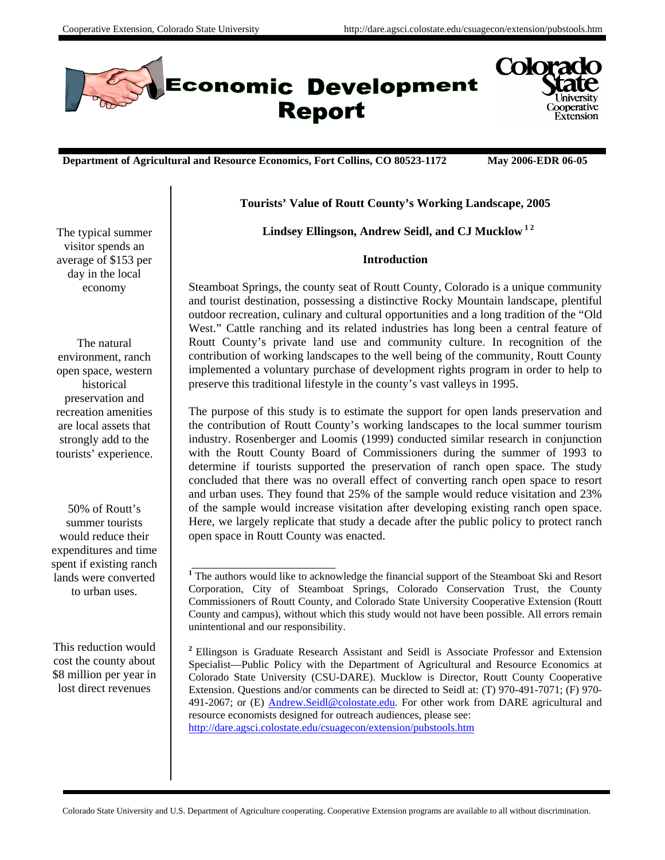



**Department of Agricultural and Resource Economics, Fort Collins, CO 80523-1172 May 2006-EDR 06-05**

# **Tourists' Value of Routt County's Working Landscape, 2005**

Lindsey Ellingson, Andrew Seidl, and CJ Mucklow<sup>12</sup>

# **Introduction**

Steamboat Springs, the county seat of Routt County, Colorado is a unique community and tourist destination, possessing a distinctive Rocky Mountain landscape, plentiful outdoor recreation, culinary and cultural opportunities and a long tradition of the "Old West." Cattle ranching and its related industries has long been a central feature of Routt County's private land use and community culture. In recognition of the contribution of working landscapes to the well being of the community, Routt County implemented a voluntary purchase of development rights program in order to help to preserve this traditional lifestyle in the county's vast valleys in 1995.

The purpose of this study is to estimate the support for open lands preservation and the contribution of Routt County's working landscapes to the local summer tourism industry. Rosenberger and Loomis (1999) conducted similar research in conjunction with the Routt County Board of Commissioners during the summer of 1993 to determine if tourists supported the preservation of ranch open space. The study concluded that there was no overall effect of converting ranch open space to resort and urban uses. They found that 25% of the sample would reduce visitation and 23% of the sample would increase visitation after developing existing ranch open space. Here, we largely replicate that study a decade after the public policy to protect ranch open space in Routt County was enacted.

**<sup>2</sup>** Ellingson is Graduate Research Assistant and Seidl is Associate Professor and Extension Specialist—Public Policy with the Department of Agricultural and Resource Economics at Colorado State University (CSU-DARE). Mucklow is Director, Routt County Cooperative Extension. Questions and/or comments can be directed to Seidl at: (T) 970-491-7071; (F) 970- 491-2067; or (E) Andrew.Seidl@colostate.edu. For other work from DARE agricultural and resource economists designed for outreach audiences, please see: http://dare.agsci.colostate.edu/csuagecon/extension/pubstools.htm

The typical summer visitor spends an average of \$153 per day in the local economy

The natural environment, ranch open space, western historical preservation and recreation amenities are local assets that strongly add to the tourists' experience.

50% of Routt's summer tourists would reduce their expenditures and time spent if existing ranch lands were converted to urban uses.

This reduction would cost the county about \$8 million per year in lost direct revenues

\_\_\_\_\_\_\_\_\_\_\_\_\_\_\_\_\_\_\_\_\_\_\_\_ <sup>1</sup> The authors would like to acknowledge the financial support of the Steamboat Ski and Resort Corporation, City of Steamboat Springs, Colorado Conservation Trust, the County Commissioners of Routt County, and Colorado State University Cooperative Extension (Routt County and campus), without which this study would not have been possible. All errors remain unintentional and our responsibility.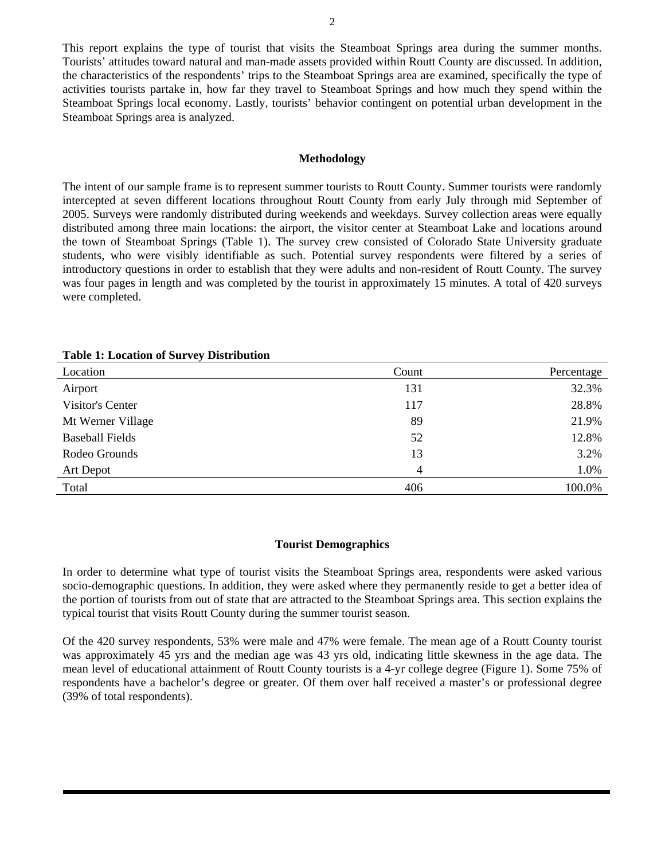This report explains the type of tourist that visits the Steamboat Springs area during the summer months. Tourists' attitudes toward natural and man-made assets provided within Routt County are discussed. In addition, the characteristics of the respondents' trips to the Steamboat Springs area are examined, specifically the type of activities tourists partake in, how far they travel to Steamboat Springs and how much they spend within the Steamboat Springs local economy. Lastly, tourists' behavior contingent on potential urban development in the Steamboat Springs area is analyzed.

#### **Methodology**

The intent of our sample frame is to represent summer tourists to Routt County. Summer tourists were randomly intercepted at seven different locations throughout Routt County from early July through mid September of 2005. Surveys were randomly distributed during weekends and weekdays. Survey collection areas were equally distributed among three main locations: the airport, the visitor center at Steamboat Lake and locations around the town of Steamboat Springs (Table 1). The survey crew consisted of Colorado State University graduate students, who were visibly identifiable as such. Potential survey respondents were filtered by a series of introductory questions in order to establish that they were adults and non-resident of Routt County. The survey was four pages in length and was completed by the tourist in approximately 15 minutes. A total of 420 surveys were completed.

| Location               | Count | Percentage |
|------------------------|-------|------------|
| Airport                | 131   | 32.3%      |
| Visitor's Center       | 117   | 28.8%      |
| Mt Werner Village      | 89    | 21.9%      |
| <b>Baseball Fields</b> | 52    | 12.8%      |
| Rodeo Grounds          | 13    | 3.2%       |
| Art Depot              | 4     | 1.0%       |
| Total                  | 406   | 100.0%     |

**Table 1: Location of Survey Distribution** 

#### **Tourist Demographics**

In order to determine what type of tourist visits the Steamboat Springs area, respondents were asked various socio-demographic questions. In addition, they were asked where they permanently reside to get a better idea of the portion of tourists from out of state that are attracted to the Steamboat Springs area. This section explains the typical tourist that visits Routt County during the summer tourist season.

Of the 420 survey respondents, 53% were male and 47% were female. The mean age of a Routt County tourist was approximately 45 yrs and the median age was 43 yrs old, indicating little skewness in the age data. The mean level of educational attainment of Routt County tourists is a 4-yr college degree (Figure 1). Some 75% of respondents have a bachelor's degree or greater. Of them over half received a master's or professional degree (39% of total respondents).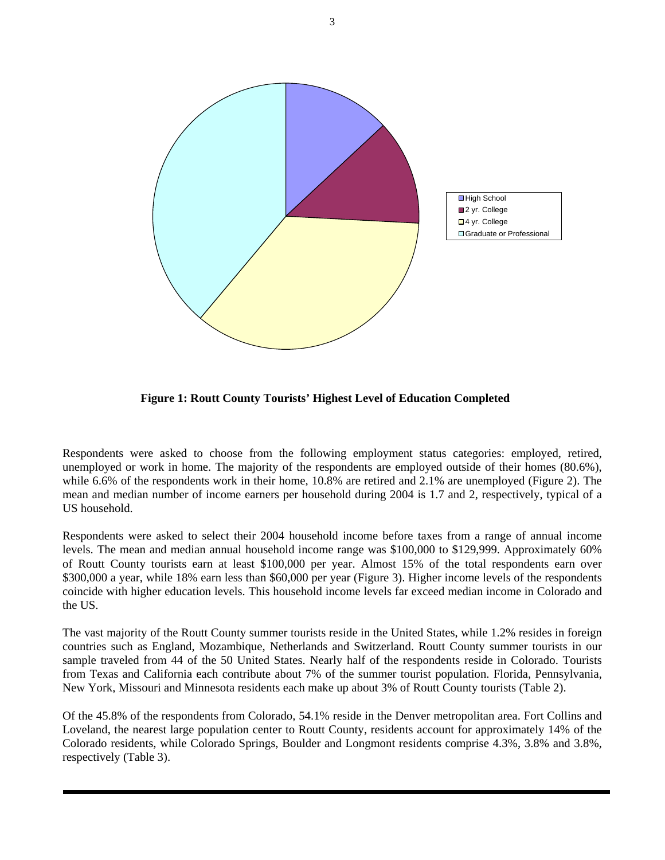

**Figure 1: Routt County Tourists' Highest Level of Education Completed** 

Respondents were asked to choose from the following employment status categories: employed, retired, unemployed or work in home. The majority of the respondents are employed outside of their homes (80.6%), while 6.6% of the respondents work in their home, 10.8% are retired and 2.1% are unemployed (Figure 2). The mean and median number of income earners per household during 2004 is 1.7 and 2, respectively, typical of a US household.

Respondents were asked to select their 2004 household income before taxes from a range of annual income levels. The mean and median annual household income range was \$100,000 to \$129,999. Approximately 60% of Routt County tourists earn at least \$100,000 per year. Almost 15% of the total respondents earn over \$300,000 a year, while 18% earn less than \$60,000 per year (Figure 3). Higher income levels of the respondents coincide with higher education levels. This household income levels far exceed median income in Colorado and the US.

The vast majority of the Routt County summer tourists reside in the United States, while 1.2% resides in foreign countries such as England, Mozambique, Netherlands and Switzerland. Routt County summer tourists in our sample traveled from 44 of the 50 United States. Nearly half of the respondents reside in Colorado. Tourists from Texas and California each contribute about 7% of the summer tourist population. Florida, Pennsylvania, New York, Missouri and Minnesota residents each make up about 3% of Routt County tourists (Table 2).

Of the 45.8% of the respondents from Colorado, 54.1% reside in the Denver metropolitan area. Fort Collins and Loveland, the nearest large population center to Routt County, residents account for approximately 14% of the Colorado residents, while Colorado Springs, Boulder and Longmont residents comprise 4.3%, 3.8% and 3.8%, respectively (Table 3).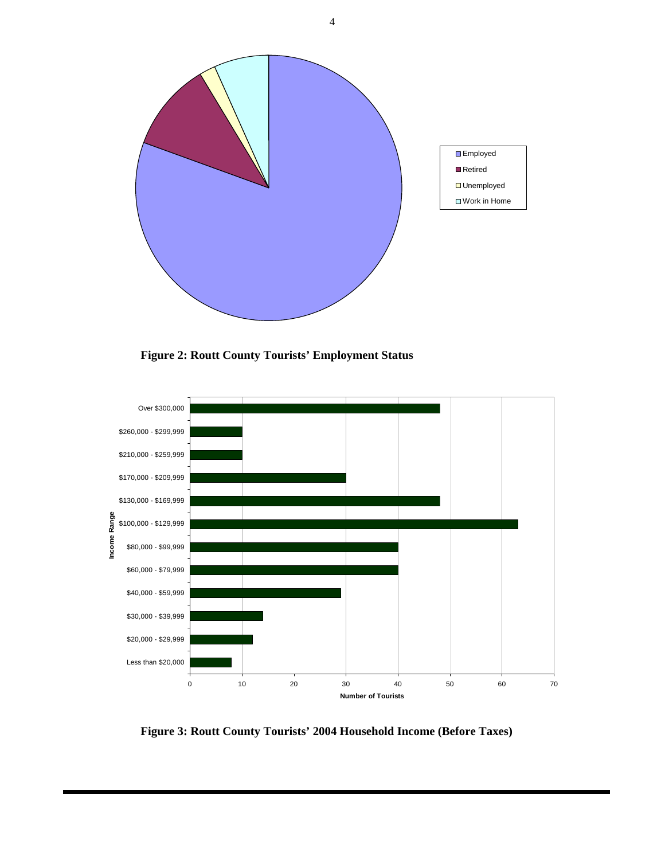

**Figure 2: Routt County Tourists' Employment Status** 



**Figure 3: Routt County Tourists' 2004 Household Income (Before Taxes)** 

4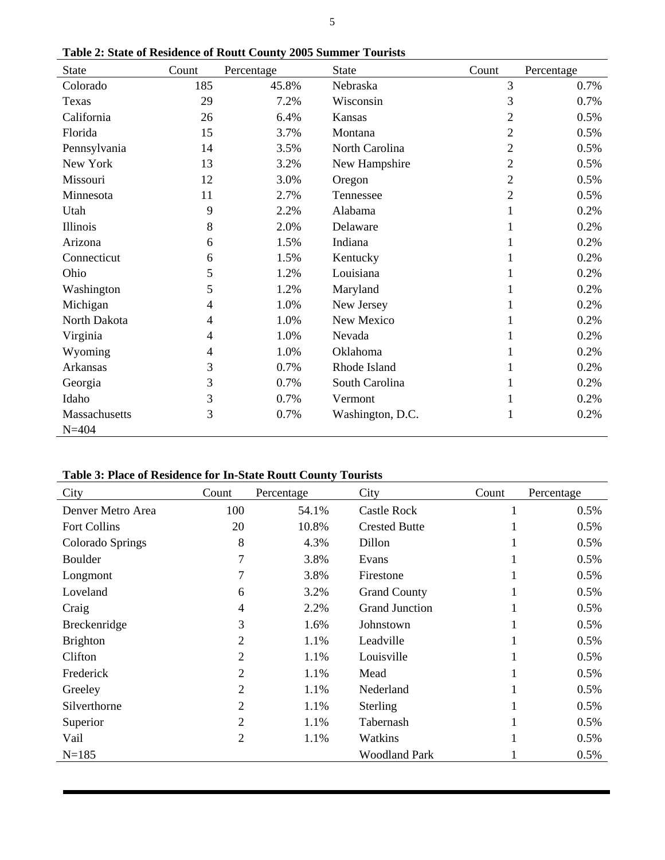| <b>State</b>  | Count          | Percentage | <b>State</b>     | Count          | Percentage |
|---------------|----------------|------------|------------------|----------------|------------|
| Colorado      | 185            | 45.8%      | Nebraska         | 3              | 0.7%       |
| Texas         | 29             | 7.2%       | Wisconsin        | 3              | 0.7%       |
| California    | 26             | 6.4%       | Kansas           | 2              | 0.5%       |
| Florida       | 15             | 3.7%       | Montana          | $\overline{2}$ | 0.5%       |
| Pennsylvania  | 14             | 3.5%       | North Carolina   | 2              | 0.5%       |
| New York      | 13             | 3.2%       | New Hampshire    | $\overline{2}$ | 0.5%       |
| Missouri      | 12             | 3.0%       | Oregon           | $\overline{2}$ | 0.5%       |
| Minnesota     | 11             | 2.7%       | Tennessee        | $\overline{2}$ | 0.5%       |
| Utah          | 9              | 2.2%       | Alabama          |                | 0.2%       |
| Illinois      | 8              | 2.0%       | Delaware         |                | 0.2%       |
| Arizona       | 6              | 1.5%       | Indiana          |                | 0.2%       |
| Connecticut   | 6              | 1.5%       | Kentucky         |                | 0.2%       |
| Ohio          | 5              | 1.2%       | Louisiana        |                | 0.2%       |
| Washington    | 5              | 1.2%       | Maryland         | 1              | 0.2%       |
| Michigan      | 4              | 1.0%       | New Jersey       |                | 0.2%       |
| North Dakota  | 4              | 1.0%       | New Mexico       |                | 0.2%       |
| Virginia      | $\overline{4}$ | 1.0%       | Nevada           |                | 0.2%       |
| Wyoming       | 4              | 1.0%       | Oklahoma         |                | 0.2%       |
| Arkansas      | 3              | 0.7%       | Rhode Island     |                | 0.2%       |
| Georgia       | 3              | 0.7%       | South Carolina   |                | 0.2%       |
| Idaho         | 3              | 0.7%       | Vermont          |                | 0.2%       |
| Massachusetts | 3              | 0.7%       | Washington, D.C. | 1              | 0.2%       |
| $N = 404$     |                |            |                  |                |            |

**Table 2: State of Residence of Routt County 2005 Summer Tourists** 

# **Table 3: Place of Residence for In-State Routt County Tourists**

| City                | Count          | Percentage | City                  | Count | Percentage |
|---------------------|----------------|------------|-----------------------|-------|------------|
| Denver Metro Area   | 100            | 54.1%      | <b>Castle Rock</b>    |       | 0.5%       |
| <b>Fort Collins</b> | 20             | 10.8%      | <b>Crested Butte</b>  |       | 0.5%       |
| Colorado Springs    | 8              | 4.3%       | Dillon                |       | 0.5%       |
| <b>Boulder</b>      | 7              | 3.8%       | Evans                 |       | 0.5%       |
| Longmont            | 7              | 3.8%       | Firestone             |       | 0.5%       |
| Loveland            | 6              | 3.2%       | <b>Grand County</b>   |       | 0.5%       |
| Craig               | 4              | 2.2%       | <b>Grand Junction</b> |       | 0.5%       |
| Breckenridge        | 3              | 1.6%       | Johnstown             |       | 0.5%       |
| <b>Brighton</b>     | 2              | 1.1%       | Leadville             | -1    | 0.5%       |
| Clifton             | 2              | 1.1%       | Louisville            |       | 0.5%       |
| Frederick           | 2              | 1.1%       | Mead                  |       | 0.5%       |
| Greeley             | 2              | 1.1%       | Nederland             |       | 0.5%       |
| Silverthorne        | $\overline{2}$ | 1.1%       | Sterling              |       | 0.5%       |
| Superior            | $\overline{2}$ | 1.1%       | Tabernash             |       | 0.5%       |
| Vail                | 2              | 1.1%       | Watkins               | -1    | 0.5%       |
| $N = 185$           |                |            | <b>Woodland Park</b>  |       | 0.5%       |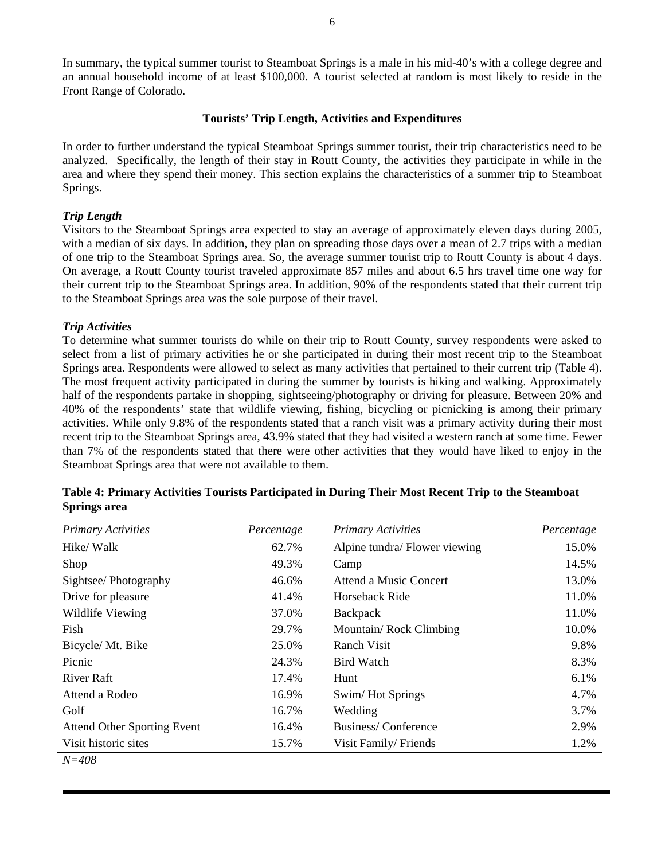In summary, the typical summer tourist to Steamboat Springs is a male in his mid-40's with a college degree and an annual household income of at least \$100,000. A tourist selected at random is most likely to reside in the Front Range of Colorado.

## **Tourists' Trip Length, Activities and Expenditures**

In order to further understand the typical Steamboat Springs summer tourist, their trip characteristics need to be analyzed. Specifically, the length of their stay in Routt County, the activities they participate in while in the area and where they spend their money. This section explains the characteristics of a summer trip to Steamboat Springs.

### *Trip Length*

Visitors to the Steamboat Springs area expected to stay an average of approximately eleven days during 2005, with a median of six days. In addition, they plan on spreading those days over a mean of 2.7 trips with a median of one trip to the Steamboat Springs area. So, the average summer tourist trip to Routt County is about 4 days. On average, a Routt County tourist traveled approximate 857 miles and about 6.5 hrs travel time one way for their current trip to the Steamboat Springs area. In addition, 90% of the respondents stated that their current trip to the Steamboat Springs area was the sole purpose of their travel.

#### *Trip Activities*

To determine what summer tourists do while on their trip to Routt County, survey respondents were asked to select from a list of primary activities he or she participated in during their most recent trip to the Steamboat Springs area. Respondents were allowed to select as many activities that pertained to their current trip (Table 4). The most frequent activity participated in during the summer by tourists is hiking and walking. Approximately half of the respondents partake in shopping, sightseeing/photography or driving for pleasure. Between 20% and 40% of the respondents' state that wildlife viewing, fishing, bicycling or picnicking is among their primary activities. While only 9.8% of the respondents stated that a ranch visit was a primary activity during their most recent trip to the Steamboat Springs area, 43.9% stated that they had visited a western ranch at some time. Fewer than 7% of the respondents stated that there were other activities that they would have liked to enjoy in the Steamboat Springs area that were not available to them.

| <b>Primary Activities</b>          | Percentage | <b>Primary Activities</b>     | Percentage |
|------------------------------------|------------|-------------------------------|------------|
| Hike/Walk                          | 62.7%      | Alpine tundra/ Flower viewing | 15.0%      |
| Shop                               | 49.3%      | Camp                          | 14.5%      |
| Sightsee/Photography               | 46.6%      | Attend a Music Concert        | 13.0%      |
| Drive for pleasure                 | 41.4%      | Horseback Ride                | 11.0%      |
| Wildlife Viewing                   | 37.0%      | Backpack                      | 11.0%      |
| Fish                               | 29.7%      | Mountain/Rock Climbing        | 10.0%      |
| Bicycle/Mt. Bike                   | 25.0%      | Ranch Visit                   | 9.8%       |
| Picnic                             | 24.3%      | Bird Watch                    | 8.3%       |
| River Raft                         | 17.4%      | Hunt                          | 6.1%       |
| Attend a Rodeo                     | 16.9%      | Swim/Hot Springs              | 4.7%       |
| Golf                               | 16.7%      | Wedding                       | 3.7%       |
| <b>Attend Other Sporting Event</b> | 16.4%      | <b>Business/Conference</b>    | 2.9%       |
| Visit historic sites               | 15.7%      | Visit Family/Friends          | 1.2%       |
| $N = 408$                          |            |                               |            |

# **Table 4: Primary Activities Tourists Participated in During Their Most Recent Trip to the Steamboat Springs area**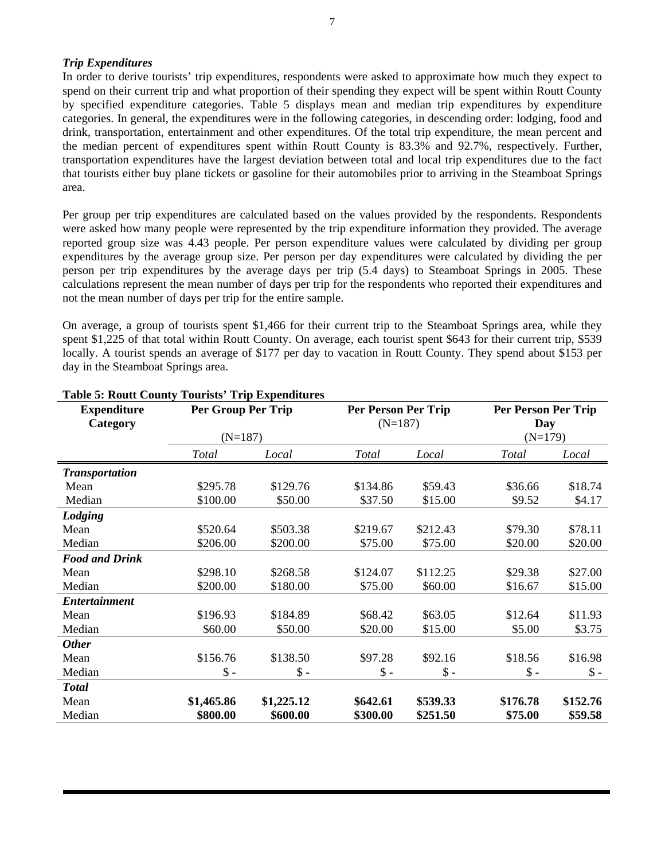# *Trip Expenditures*

In order to derive tourists' trip expenditures, respondents were asked to approximate how much they expect to spend on their current trip and what proportion of their spending they expect will be spent within Routt County by specified expenditure categories. Table 5 displays mean and median trip expenditures by expenditure categories. In general, the expenditures were in the following categories, in descending order: lodging, food and drink, transportation, entertainment and other expenditures. Of the total trip expenditure, the mean percent and the median percent of expenditures spent within Routt County is 83.3% and 92.7%, respectively. Further, transportation expenditures have the largest deviation between total and local trip expenditures due to the fact that tourists either buy plane tickets or gasoline for their automobiles prior to arriving in the Steamboat Springs area.

Per group per trip expenditures are calculated based on the values provided by the respondents. Respondents were asked how many people were represented by the trip expenditure information they provided. The average reported group size was 4.43 people. Per person expenditure values were calculated by dividing per group expenditures by the average group size. Per person per day expenditures were calculated by dividing the per person per trip expenditures by the average days per trip (5.4 days) to Steamboat Springs in 2005. These calculations represent the mean number of days per trip for the respondents who reported their expenditures and not the mean number of days per trip for the entire sample.

On average, a group of tourists spent \$1,466 for their current trip to the Steamboat Springs area, while they spent \$1,225 of that total within Routt County. On average, each tourist spent \$643 for their current trip, \$539 locally. A tourist spends an average of \$177 per day to vacation in Routt County. They spend about \$153 per day in the Steamboat Springs area.

| <b>Expenditure</b>    | Per Group Per Trip |            | <b>Per Person Per Trip</b> |                 | <b>Per Person Per Trip</b> |          |
|-----------------------|--------------------|------------|----------------------------|-----------------|----------------------------|----------|
| Category              |                    |            | $(N=187)$                  |                 | Day                        |          |
|                       | $(N=187)$          |            |                            |                 | $(N=179)$                  |          |
|                       | Total              | Local      | <b>Total</b>               | Local           | <b>Total</b>               | Local    |
| <b>Transportation</b> |                    |            |                            |                 |                            |          |
| Mean                  | \$295.78           | \$129.76   | \$134.86                   | \$59.43         | \$36.66                    | \$18.74  |
| Median                | \$100.00           | \$50.00    | \$37.50                    | \$15.00         | \$9.52                     | \$4.17   |
| Lodging               |                    |            |                            |                 |                            |          |
| Mean                  | \$520.64           | \$503.38   | \$219.67                   | \$212.43        | \$79.30                    | \$78.11  |
| Median                | \$206.00           | \$200.00   | \$75.00                    | \$75.00         | \$20.00                    | \$20.00  |
| <b>Food and Drink</b> |                    |            |                            |                 |                            |          |
| Mean                  | \$298.10           | \$268.58   | \$124.07                   | \$112.25        | \$29.38                    | \$27.00  |
| Median                | \$200.00           | \$180.00   | \$75.00                    | \$60.00         | \$16.67                    | \$15.00  |
| <b>Entertainment</b>  |                    |            |                            |                 |                            |          |
| Mean                  | \$196.93           | \$184.89   | \$68.42                    | \$63.05         | \$12.64                    | \$11.93  |
| Median                | \$60.00            | \$50.00    | \$20.00                    | \$15.00         | \$5.00                     | \$3.75   |
| <b>Other</b>          |                    |            |                            |                 |                            |          |
| Mean                  | \$156.76           | \$138.50   | \$97.28                    | \$92.16         | \$18.56                    | \$16.98  |
| Median                | $\$ -              | $\$ -      | $\$ -                      | $\mathsf{\$}$ - | $\$ -                      | $\$\sim$ |
| <b>Total</b>          |                    |            |                            |                 |                            |          |
| Mean                  | \$1,465.86         | \$1,225.12 | \$642.61                   | \$539.33        | \$176.78                   | \$152.76 |
| Median                | \$800.00           | \$600.00   | \$300.00                   | \$251.50        | \$75.00                    | \$59.58  |

## **Table 5: Routt County Tourists' Trip Expenditures**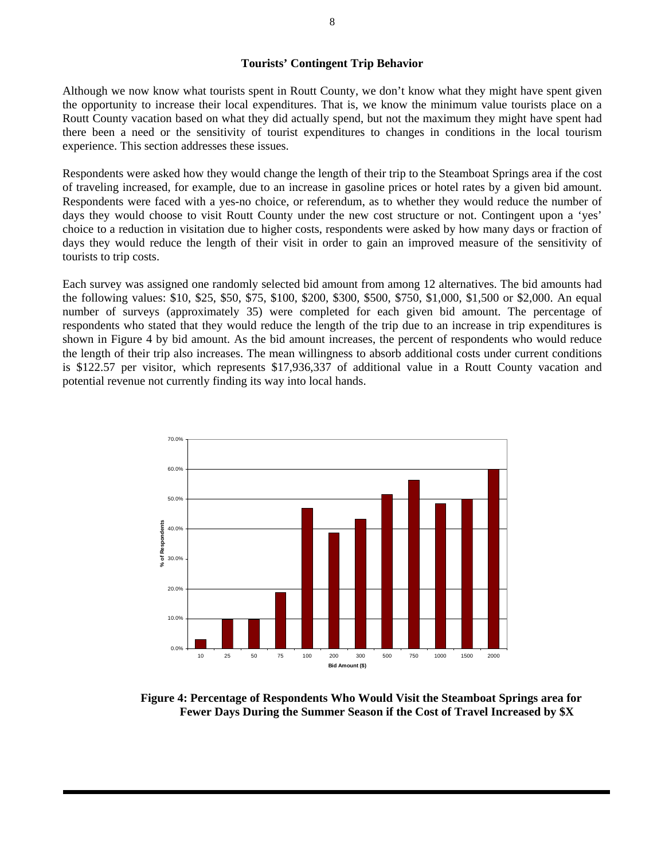#### **Tourists' Contingent Trip Behavior**

Although we now know what tourists spent in Routt County, we don't know what they might have spent given the opportunity to increase their local expenditures. That is, we know the minimum value tourists place on a Routt County vacation based on what they did actually spend, but not the maximum they might have spent had there been a need or the sensitivity of tourist expenditures to changes in conditions in the local tourism experience. This section addresses these issues.

Respondents were asked how they would change the length of their trip to the Steamboat Springs area if the cost of traveling increased, for example, due to an increase in gasoline prices or hotel rates by a given bid amount. Respondents were faced with a yes-no choice, or referendum, as to whether they would reduce the number of days they would choose to visit Routt County under the new cost structure or not. Contingent upon a 'yes' choice to a reduction in visitation due to higher costs, respondents were asked by how many days or fraction of days they would reduce the length of their visit in order to gain an improved measure of the sensitivity of tourists to trip costs.

Each survey was assigned one randomly selected bid amount from among 12 alternatives. The bid amounts had the following values: \$10, \$25, \$50, \$75, \$100, \$200, \$300, \$500, \$750, \$1,000, \$1,500 or \$2,000. An equal number of surveys (approximately 35) were completed for each given bid amount. The percentage of respondents who stated that they would reduce the length of the trip due to an increase in trip expenditures is shown in Figure 4 by bid amount. As the bid amount increases, the percent of respondents who would reduce the length of their trip also increases. The mean willingness to absorb additional costs under current conditions is \$122.57 per visitor, which represents \$17,936,337 of additional value in a Routt County vacation and potential revenue not currently finding its way into local hands.



**Figure 4: Percentage of Respondents Who Would Visit the Steamboat Springs area for Fewer Days During the Summer Season if the Cost of Travel Increased by \$X**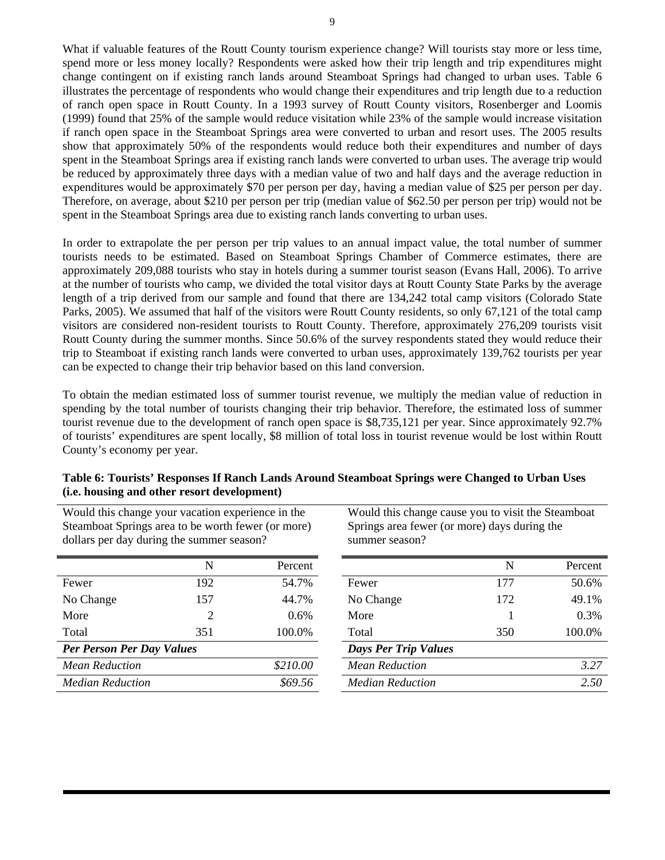What if valuable features of the Routt County tourism experience change? Will tourists stay more or less time, spend more or less money locally? Respondents were asked how their trip length and trip expenditures might change contingent on if existing ranch lands around Steamboat Springs had changed to urban uses. Table 6 illustrates the percentage of respondents who would change their expenditures and trip length due to a reduction of ranch open space in Routt County. In a 1993 survey of Routt County visitors, Rosenberger and Loomis (1999) found that 25% of the sample would reduce visitation while 23% of the sample would increase visitation if ranch open space in the Steamboat Springs area were converted to urban and resort uses. The 2005 results show that approximately 50% of the respondents would reduce both their expenditures and number of days spent in the Steamboat Springs area if existing ranch lands were converted to urban uses. The average trip would be reduced by approximately three days with a median value of two and half days and the average reduction in expenditures would be approximately \$70 per person per day, having a median value of \$25 per person per day. Therefore, on average, about \$210 per person per trip (median value of \$62.50 per person per trip) would not be spent in the Steamboat Springs area due to existing ranch lands converting to urban uses.

In order to extrapolate the per person per trip values to an annual impact value, the total number of summer tourists needs to be estimated. Based on Steamboat Springs Chamber of Commerce estimates, there are approximately 209,088 tourists who stay in hotels during a summer tourist season (Evans Hall, 2006). To arrive at the number of tourists who camp, we divided the total visitor days at Routt County State Parks by the average length of a trip derived from our sample and found that there are 134,242 total camp visitors (Colorado State Parks, 2005). We assumed that half of the visitors were Routt County residents, so only 67,121 of the total camp visitors are considered non-resident tourists to Routt County. Therefore, approximately 276,209 tourists visit Routt County during the summer months. Since 50.6% of the survey respondents stated they would reduce their trip to Steamboat if existing ranch lands were converted to urban uses, approximately 139,762 tourists per year can be expected to change their trip behavior based on this land conversion.

To obtain the median estimated loss of summer tourist revenue, we multiply the median value of reduction in spending by the total number of tourists changing their trip behavior. Therefore, the estimated loss of summer tourist revenue due to the development of ranch open space is \$8,735,121 per year. Since approximately 92.7% of tourists' expenditures are spent locally, \$8 million of total loss in tourist revenue would be lost within Routt County's economy per year.

| Steamboat Springs area to be worth fewer (or more)<br>dollars per day during the summer season? |     | Springs area fewer (or more) days during the<br>summer season? |                             |     |         |
|-------------------------------------------------------------------------------------------------|-----|----------------------------------------------------------------|-----------------------------|-----|---------|
|                                                                                                 | N   | Percent                                                        |                             | N   | Percent |
| Fewer                                                                                           | 192 | 54.7%                                                          | Fewer                       | 177 | 50.6%   |
| No Change                                                                                       | 157 | 44.7%                                                          | No Change                   | 172 | 49.1%   |
| More                                                                                            | 2   | $0.6\%$                                                        | More                        |     | 0.3%    |
| Total                                                                                           | 351 | 100.0%                                                         | Total                       | 350 | 100.0%  |
| <b>Per Person Per Day Values</b>                                                                |     |                                                                | <b>Days Per Trip Values</b> |     |         |
| <b>Mean Reduction</b>                                                                           |     | \$210.00                                                       | <b>Mean Reduction</b>       |     | 3.27    |
| <b>Median Reduction</b>                                                                         |     | \$69.56                                                        | <b>Median Reduction</b>     |     | 2.50    |

# **Table 6: Tourists' Responses If Ranch Lands Around Steamboat Springs were Changed to Urban Uses (i.e. housing and other resort development)**

Would this change cause you to visit the Steamboat

Would this change your vacation experience in the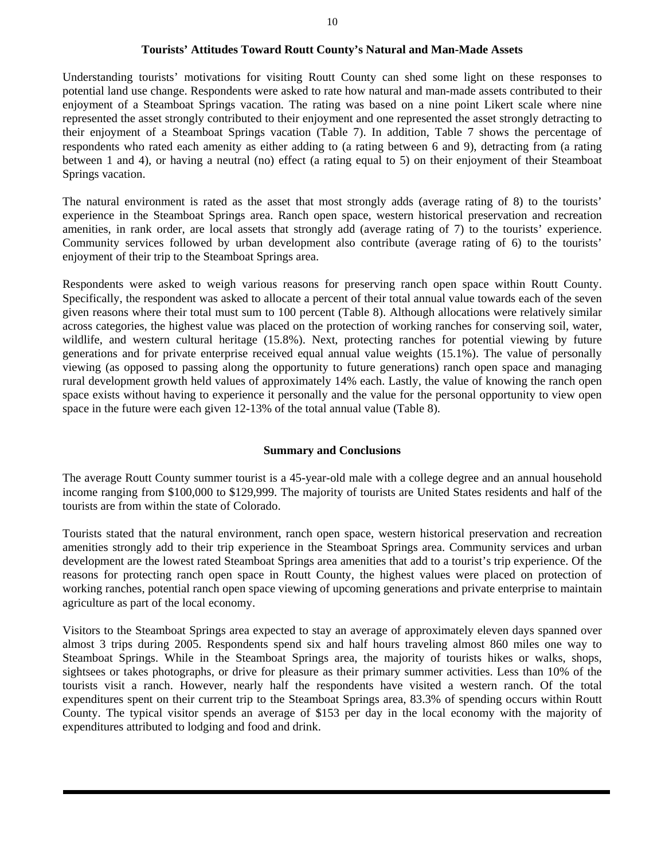Understanding tourists' motivations for visiting Routt County can shed some light on these responses to potential land use change. Respondents were asked to rate how natural and man-made assets contributed to their enjoyment of a Steamboat Springs vacation. The rating was based on a nine point Likert scale where nine represented the asset strongly contributed to their enjoyment and one represented the asset strongly detracting to their enjoyment of a Steamboat Springs vacation (Table 7). In addition, Table 7 shows the percentage of respondents who rated each amenity as either adding to (a rating between 6 and 9), detracting from (a rating between 1 and 4), or having a neutral (no) effect (a rating equal to 5) on their enjoyment of their Steamboat Springs vacation.

The natural environment is rated as the asset that most strongly adds (average rating of 8) to the tourists' experience in the Steamboat Springs area. Ranch open space, western historical preservation and recreation amenities, in rank order, are local assets that strongly add (average rating of 7) to the tourists' experience. Community services followed by urban development also contribute (average rating of 6) to the tourists' enjoyment of their trip to the Steamboat Springs area.

Respondents were asked to weigh various reasons for preserving ranch open space within Routt County. Specifically, the respondent was asked to allocate a percent of their total annual value towards each of the seven given reasons where their total must sum to 100 percent (Table 8). Although allocations were relatively similar across categories, the highest value was placed on the protection of working ranches for conserving soil, water, wildlife, and western cultural heritage (15.8%). Next, protecting ranches for potential viewing by future generations and for private enterprise received equal annual value weights (15.1%). The value of personally viewing (as opposed to passing along the opportunity to future generations) ranch open space and managing rural development growth held values of approximately 14% each. Lastly, the value of knowing the ranch open space exists without having to experience it personally and the value for the personal opportunity to view open space in the future were each given 12-13% of the total annual value (Table 8).

# **Summary and Conclusions**

The average Routt County summer tourist is a 45-year-old male with a college degree and an annual household income ranging from \$100,000 to \$129,999. The majority of tourists are United States residents and half of the tourists are from within the state of Colorado.

Tourists stated that the natural environment, ranch open space, western historical preservation and recreation amenities strongly add to their trip experience in the Steamboat Springs area. Community services and urban development are the lowest rated Steamboat Springs area amenities that add to a tourist's trip experience. Of the reasons for protecting ranch open space in Routt County, the highest values were placed on protection of working ranches, potential ranch open space viewing of upcoming generations and private enterprise to maintain agriculture as part of the local economy.

Visitors to the Steamboat Springs area expected to stay an average of approximately eleven days spanned over almost 3 trips during 2005. Respondents spend six and half hours traveling almost 860 miles one way to Steamboat Springs. While in the Steamboat Springs area, the majority of tourists hikes or walks, shops, sightsees or takes photographs, or drive for pleasure as their primary summer activities. Less than 10% of the tourists visit a ranch. However, nearly half the respondents have visited a western ranch. Of the total expenditures spent on their current trip to the Steamboat Springs area, 83.3% of spending occurs within Routt County. The typical visitor spends an average of \$153 per day in the local economy with the majority of expenditures attributed to lodging and food and drink.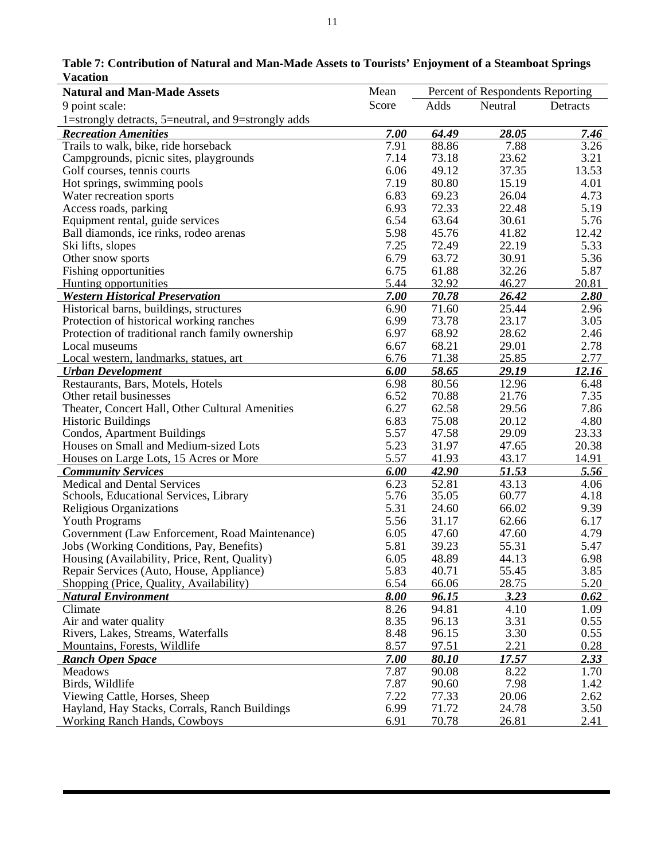| v acauon                                            |              |                                  |         |          |
|-----------------------------------------------------|--------------|----------------------------------|---------|----------|
| <b>Natural and Man-Made Assets</b>                  | Mean         | Percent of Respondents Reporting |         |          |
| 9 point scale:                                      | Score        | Adds                             | Neutral | Detracts |
| 1=strongly detracts, 5=neutral, and 9=strongly adds |              |                                  |         |          |
| <b>Recreation Amenities</b>                         | 7.00         | 64.49                            | 28.05   | 7.46     |
| Trails to walk, bike, ride horseback                | 7.91         | 88.86                            | 7.88    | 3.26     |
| Campgrounds, picnic sites, playgrounds              | 7.14         | 73.18                            | 23.62   | 3.21     |
| Golf courses, tennis courts                         | 6.06         | 49.12                            | 37.35   | 13.53    |
| Hot springs, swimming pools                         | 7.19         | 80.80                            | 15.19   | 4.01     |
| Water recreation sports                             | 6.83         | 69.23                            | 26.04   | 4.73     |
| Access roads, parking                               | 6.93         | 72.33                            | 22.48   | 5.19     |
| Equipment rental, guide services                    | 6.54         | 63.64                            | 30.61   | 5.76     |
| Ball diamonds, ice rinks, rodeo arenas              | 5.98         | 45.76                            | 41.82   | 12.42    |
| Ski lifts, slopes                                   | 7.25         | 72.49                            | 22.19   | 5.33     |
| Other snow sports                                   | 6.79         | 63.72                            | 30.91   | 5.36     |
| Fishing opportunities                               | 6.75         | 61.88                            | 32.26   | 5.87     |
| Hunting opportunities                               | 5.44         | 32.92                            | 46.27   | 20.81    |
| <b>Western Historical Preservation</b>              | 7.00         | 70.78                            | 26.42   | 2.80     |
| Historical barns, buildings, structures             | 6.90         | 71.60                            | 25.44   | 2.96     |
| Protection of historical working ranches            | 6.99         | 73.78                            | 23.17   | 3.05     |
| Protection of traditional ranch family ownership    | 6.97         | 68.92                            | 28.62   | 2.46     |
| Local museums                                       | 6.67         | 68.21                            | 29.01   | 2.78     |
| Local western, landmarks, statues, art              | 6.76         | 71.38                            | 25.85   | 2.77     |
| <b>Urban Development</b>                            | 6.00         | 58.65                            | 29.19   | 12.16    |
| Restaurants, Bars, Motels, Hotels                   | 6.98         | 80.56                            | 12.96   | 6.48     |
| Other retail businesses                             | 6.52         | 70.88                            | 21.76   | 7.35     |
| Theater, Concert Hall, Other Cultural Amenities     | 6.27         | 62.58                            | 29.56   | 7.86     |
| <b>Historic Buildings</b>                           | 6.83         | 75.08                            | 20.12   | 4.80     |
| Condos, Apartment Buildings                         | 5.57         | 47.58                            | 29.09   | 23.33    |
| Houses on Small and Medium-sized Lots               | 5.23         | 31.97                            | 47.65   | 20.38    |
| Houses on Large Lots, 15 Acres or More              | 5.57         | 41.93                            | 43.17   | 14.91    |
| <b>Community Services</b>                           | 6.00         | 42.90                            | 51.53   | 5.56     |
| Medical and Dental Services                         | 6.23         | 52.81                            | 43.13   | 4.06     |
| Schools, Educational Services, Library              | 5.76         | 35.05                            | 60.77   | 4.18     |
| Religious Organizations                             | 5.31         | 24.60                            | 66.02   | 9.39     |
| <b>Youth Programs</b>                               | 5.56         | 31.17                            | 62.66   | 6.17     |
| Government (Law Enforcement, Road Maintenance)      | 6.05         | 47.60                            | 47.60   | 4.79     |
| Jobs (Working Conditions, Pay, Benefits)            | 5.81         | 39.23                            | 55.31   | 5.47     |
| Housing (Availability, Price, Rent, Quality)        | 6.05         | 48.89                            | 44.13   | 6.98     |
| Repair Services (Auto, House, Appliance)            | 5.83         | 40.71                            | 55.45   | 3.85     |
| Shopping (Price, Quality, Availability)             | 6.54         | 66.06                            | 28.75   | 5.20     |
|                                                     |              |                                  |         |          |
| <b>Natural Environment</b>                          | 8.00<br>8.26 | 96.15                            | 3.23    | 0.62     |
| Climate                                             |              | 94.81                            | 4.10    | 1.09     |
| Air and water quality                               | 8.35         | 96.13                            | 3.31    | 0.55     |
| Rivers, Lakes, Streams, Waterfalls                  | 8.48         | 96.15                            | 3.30    | 0.55     |
| Mountains, Forests, Wildlife                        | 8.57         | 97.51                            | 2.21    | 0.28     |
| <b>Ranch Open Space</b>                             | 7.00         | 80.10                            | 17.57   | 2.33     |
| <b>Meadows</b>                                      | 7.87         | 90.08                            | 8.22    | 1.70     |
| Birds, Wildlife                                     | 7.87         | 90.60                            | 7.98    | 1.42     |
| Viewing Cattle, Horses, Sheep                       | 7.22         | 77.33                            | 20.06   | 2.62     |
| Hayland, Hay Stacks, Corrals, Ranch Buildings       | 6.99         | 71.72                            | 24.78   | 3.50     |
| <b>Working Ranch Hands, Cowboys</b>                 | 6.91         | 70.78                            | 26.81   | 2.41     |

**Table 7: Contribution of Natural and Man-Made Assets to Tourists' Enjoyment of a Steamboat Springs Vacation**